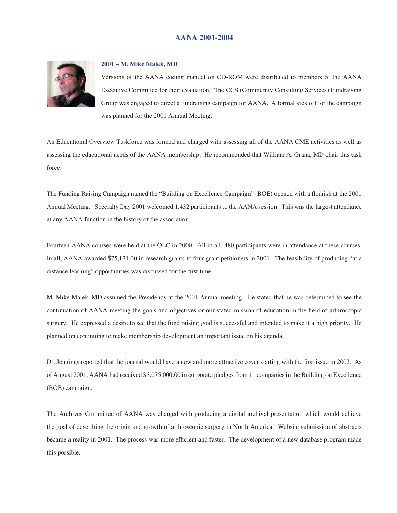# **AANA 2001-2004**



### **2001 – M. Mike Malek, MD**

Versions of the AANA coding manual on CD-ROM were distributed to members of the AANA Executive Committee for their evaluation. The CCS (Community Consulting Services) Fundraising Group was engaged to direct a fundraising campaign for AANA. A formal kick off for the campaign was planned for the 2001 Annual Meeting.

An Educational Overview Taskforce was formed and charged with assessing all of the AANA CME activities as well as assessing the educational needs of the AANA membership. He recommended that William A. Grana, MD chair this task force.

The Funding Raising Campaign named the "Building on Excellence Campaign" (BOE) opened with a flourish at the 2001 Annual Meeting. Specialty Day 2001 welcomed 1,432 participants to the AANA session. This was the largest attendance at any AANA function in the history of the association.

Fourteen AANA courses were held at the OLC in 2000. All in all, 480 participants were in attendance at these courses. In all, AANA awarded \$75,171.00 in research grants to four grant petitioners in 2001. The feasibility of producing "at a distance learning" opportunities was discussed for the first time.

M. Mike Malek, MD assumed the Presidency at the 2001 Annual meeting. He stated that he was determined to see the continuation of AANA meeting the goals and objectives or our stated mission of education in the field of arthroscopic surgery. He expressed a desire to see that the fund raising goal is successful and intended to make it a high priority. He planned on continuing to make membership development an important issue on his agenda.

Dr. Jennings reported that the journal would have a new and more attractive cover starting with the first issue in 2002. As of August 2001, AANA had received \$3,075,000.00 in corporate pledges from 11 companies in the Building on Excellence (BOE) campaign.

The Archives Committee of AANA was charged with producing a digital archival presentation which would achieve the goal of describing the origin and growth of arthroscopic surgery in North America. Website submission of abstracts became a reality in 2001. The process was more efficient and faster. The development of a new database program made this possible.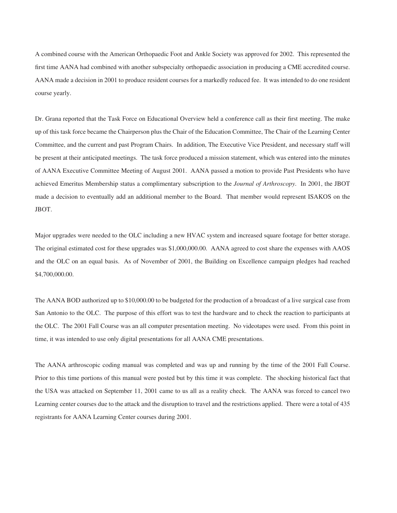A combined course with the American Orthopaedic Foot and Ankle Society was approved for 2002. This represented the first time AANA had combined with another subspecialty orthopaedic association in producing a CME accredited course. AANA made a decision in 2001 to produce resident courses for a markedly reduced fee. It was intended to do one resident course yearly.

Dr. Grana reported that the Task Force on Educational Overview held a conference call as their first meeting. The make up of this task force became the Chairperson plus the Chair of the Education Committee, The Chair of the Learning Center Committee, and the current and past Program Chairs. In addition, The Executive Vice President, and necessary staff will be present at their anticipated meetings. The task force produced a mission statement, which was entered into the minutes of AANA Executive Committee Meeting of August 2001. AANA passed a motion to provide Past Presidents who have achieved Emeritus Membership status a complimentary subscription to the *Journal of Arthroscopy*. In 2001, the JBOT made a decision to eventually add an additional member to the Board. That member would represent ISAKOS on the JBOT.

Major upgrades were needed to the OLC including a new HVAC system and increased square footage for better storage. The original estimated cost for these upgrades was \$1,000,000.00. AANA agreed to cost share the expenses with AAOS and the OLC on an equal basis. As of November of 2001, the Building on Excellence campaign pledges had reached \$4,700,000.00.

The AANA BOD authorized up to \$10,000.00 to be budgeted for the production of a broadcast of a live surgical case from San Antonio to the OLC. The purpose of this effort was to test the hardware and to check the reaction to participants at the OLC. The 2001 Fall Course was an all computer presentation meeting. No videotapes were used. From this point in time, it was intended to use only digital presentations for all AANA CME presentations.

The AANA arthroscopic coding manual was completed and was up and running by the time of the 2001 Fall Course. Prior to this time portions of this manual were posted but by this time it was complete. The shocking historical fact that the USA was attacked on September 11, 2001 came to us all as a reality check. The AANA was forced to cancel two Learning center courses due to the attack and the disruption to travel and the restrictions applied. There were a total of 435 registrants for AANA Learning Center courses during 2001.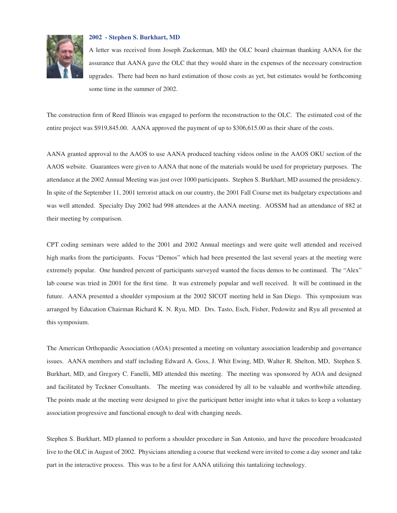

### **2002 - Stephen S. Burkhart, MD**

A letter was received from Joseph Zuckerman, MD the OLC board chairman thanking AANA for the assurance that AANA gave the OLC that they would share in the expenses of the necessary construction upgrades. There had been no hard estimation of those costs as yet, but estimates would be forthcoming some time in the summer of 2002.

The construction firm of Reed Illinois was engaged to perform the reconstruction to the OLC. The estimated cost of the entire project was \$919,845.00. AANA approved the payment of up to \$306,615.00 as their share of the costs.

AANA granted approval to the AAOS to use AANA produced teaching videos online in the AAOS OKU section of the AAOS website. Guarantees were given to AANA that none of the materials would be used for proprietary purposes. The attendance at the 2002 Annual Meeting was just over 1000 participants. Stephen S. Burkhart, MD assumed the presidency. In spite of the September 11, 2001 terrorist attack on our country, the 2001 Fall Course met its budgetary expectations and was well attended. Specialty Day 2002 had 998 attendees at the AANA meeting. AOSSM had an attendance of 882 at their meeting by comparison.

CPT coding seminars were added to the 2001 and 2002 Annual meetings and were quite well attended and received high marks from the participants. Focus "Demos" which had been presented the last several years at the meeting were extremely popular. One hundred percent of participants surveyed wanted the focus demos to be continued. The "Alex" lab course was tried in 2001 for the first time. It was extremely popular and well received. It will be continued in the future. AANA presented a shoulder symposium at the 2002 SICOT meeting held in San Diego. This symposium was arranged by Education Chairman Richard K. N. Ryu, MD. Drs. Tasto, Esch, Fisher, Pedowitz and Ryu all presented at this symposium.

The American Orthopaedic Association (AOA) presented a meeting on voluntary association leadership and governance issues. AANA members and staff including Edward A. Goss, J. Whit Ewing, MD, Walter R. Shelton, MD, Stephen S. Burkhart, MD, and Gregory C. Fanelli, MD attended this meeting. The meeting was sponsored by AOA and designed and facilitated by Teckner Consultants. The meeting was considered by all to be valuable and worthwhile attending. The points made at the meeting were designed to give the participant better insight into what it takes to keep a voluntary association progressive and functional enough to deal with changing needs.

Stephen S. Burkhart, MD planned to perform a shoulder procedure in San Antonio, and have the procedure broadcasted live to the OLC in August of 2002. Physicians attending a course that weekend were invited to come a day sooner and take part in the interactive process. This was to be a first for AANA utilizing this tantalizing technology.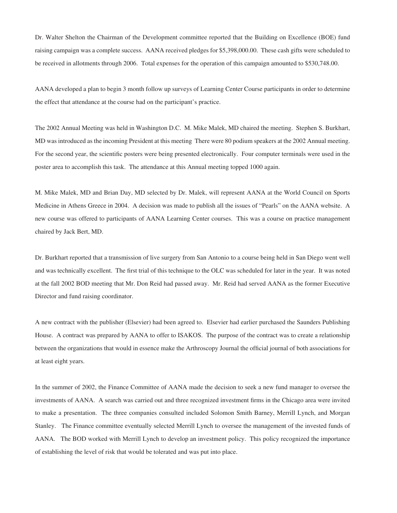Dr. Walter Shelton the Chairman of the Development committee reported that the Building on Excellence (BOE) fund raising campaign was a complete success. AANA received pledges for \$5,398,000.00. These cash gifts were scheduled to be received in allotments through 2006. Total expenses for the operation of this campaign amounted to \$530,748.00.

AANA developed a plan to begin 3 month follow up surveys of Learning Center Course participants in order to determine the effect that attendance at the course had on the participant's practice.

The 2002 Annual Meeting was held in Washington D.C. M. Mike Malek, MD chaired the meeting. Stephen S. Burkhart, MD was introduced as the incoming President at this meeting There were 80 podium speakers at the 2002 Annual meeting. For the second year, the scientific posters were being presented electronically. Four computer terminals were used in the poster area to accomplish this task. The attendance at this Annual meeting topped 1000 again.

M. Mike Malek, MD and Brian Day, MD selected by Dr. Malek, will represent AANA at the World Council on Sports Medicine in Athens Greece in 2004. A decision was made to publish all the issues of "Pearls" on the AANA website. A new course was offered to participants of AANA Learning Center courses. This was a course on practice management chaired by Jack Bert, MD.

Dr. Burkhart reported that a transmission of live surgery from San Antonio to a course being held in San Diego went well and was technically excellent. The first trial of this technique to the OLC was scheduled for later in the year. It was noted at the fall 2002 BOD meeting that Mr. Don Reid had passed away. Mr. Reid had served AANA as the former Executive Director and fund raising coordinator.

A new contract with the publisher (Elsevier) had been agreed to. Elsevier had earlier purchased the Saunders Publishing House. A contract was prepared by AANA to offer to ISAKOS. The purpose of the contract was to create a relationship between the organizations that would in essence make the Arthroscopy Journal the official journal of both associations for at least eight years.

In the summer of 2002, the Finance Committee of AANA made the decision to seek a new fund manager to oversee the investments of AANA. A search was carried out and three recognized investment firms in the Chicago area were invited to make a presentation. The three companies consulted included Solomon Smith Barney, Merrill Lynch, and Morgan Stanley. The Finance committee eventually selected Merrill Lynch to oversee the management of the invested funds of AANA. The BOD worked with Merrill Lynch to develop an investment policy. This policy recognized the importance of establishing the level of risk that would be tolerated and was put into place.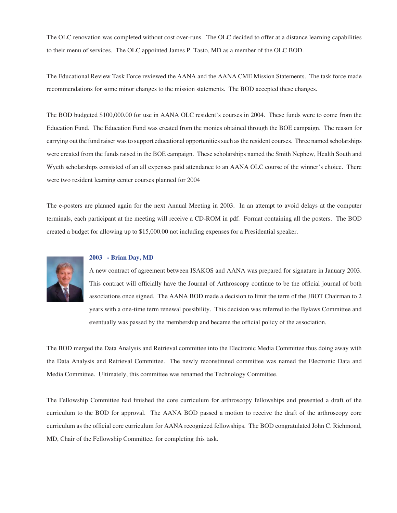The OLC renovation was completed without cost over-runs. The OLC decided to offer at a distance learning capabilities to their menu of services. The OLC appointed James P. Tasto, MD as a member of the OLC BOD.

The Educational Review Task Force reviewed the AANA and the AANA CME Mission Statements. The task force made recommendations for some minor changes to the mission statements. The BOD accepted these changes.

The BOD budgeted \$100,000.00 for use in AANA OLC resident's courses in 2004. These funds were to come from the Education Fund. The Education Fund was created from the monies obtained through the BOE campaign. The reason for carrying out the fund raiser was to support educational opportunities such as the resident courses. Three named scholarships were created from the funds raised in the BOE campaign. These scholarships named the Smith Nephew, Health South and Wyeth scholarships consisted of an all expenses paid attendance to an AANA OLC course of the winner's choice. There were two resident learning center courses planned for 2004

The e-posters are planned again for the next Annual Meeting in 2003. In an attempt to avoid delays at the computer terminals, each participant at the meeting will receive a CD-ROM in pdf. Format containing all the posters. The BOD created a budget for allowing up to \$15,000.00 not including expenses for a Presidential speaker.



#### **2003 - Brian Day, MD**

A new contract of agreement between ISAKOS and AANA was prepared for signature in January 2003. This contract will officially have the Journal of Arthroscopy continue to be the official journal of both associations once signed. The AANA BOD made a decision to limit the term of the JBOT Chairman to 2 years with a one-time term renewal possibility. This decision was referred to the Bylaws Committee and eventually was passed by the membership and became the official policy of the association.

The BOD merged the Data Analysis and Retrieval committee into the Electronic Media Committee thus doing away with the Data Analysis and Retrieval Committee. The newly reconstituted committee was named the Electronic Data and Media Committee. Ultimately, this committee was renamed the Technology Committee.

The Fellowship Committee had finished the core curriculum for arthroscopy fellowships and presented a draft of the curriculum to the BOD for approval. The AANA BOD passed a motion to receive the draft of the arthroscopy core curriculum as the official core curriculum for AANA recognized fellowships. The BOD congratulated John C. Richmond, MD, Chair of the Fellowship Committee, for completing this task.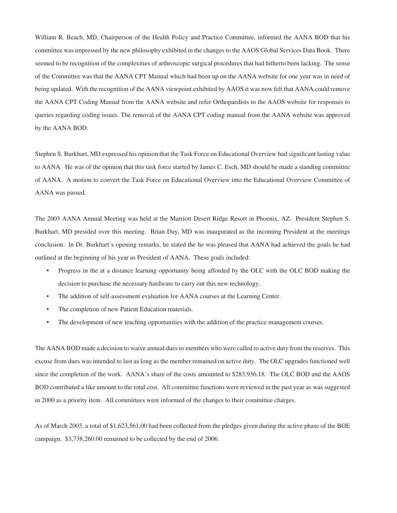William R. Beach, MD, Chairperson of the Health Policy and Practice Committee, informed the AANA BOD that his committee was impressed by the new philosophy exhibited in the changes to the AAOS Global Services Data Book. There seemed to be recognition of the complexities of arthroscopic surgical procedures that had hitherto been lacking. The sense of the Committee was that the AANA CPT Manual which had been up on the AANA website for one year was in need of being updated. With the recognition of the AANA viewpoint exhibited by AAOS it was now felt that AANA could remove the AANA CPT Coding Manual from the AANA website and refer Orthopaedists to the AAOS website for responses to queries regarding coding issues. The removal of the AANA CPT coding manual from the AANA website was approved by the AANA BOD.

Stephen S. Burkhart, MD expressed his opinion that the Task Force on Educational Overview had significant lasting value to AANA. He was of the opinion that this task force started by James C. Esch, MD should be made a standing committee of AANA. A motion to convert the Task Force on Educational Overview into the Educational Overview Committee of AANA was passed.

The 2003 AANA Annual Meeting was held at the Marriott Desert Ridge Resort in Phoenix, AZ. President Stephen S. Burkhart, MD presided over this meeting. Brian Day, MD was inaugurated as the incoming President at the meetings conclusion. In Dr. Burkhart's opening remarks, he stated the he was pleased that AANA had achieved the goals he had outlined at the beginning of his year as President of AANA. These goals included:

- Progress in the at a distance learning opportunity being afforded by the OLC with the OLC BOD making the decision to purchase the necessary hardware to carry out this new technology.
- The addition of self-assessment evaluation for AANA courses at the Learning Center.
- The completion of new Patient Education materials.
- The development of new teaching opportunities with the addition of the practice management courses.

The AANA BOD made a decision to waive annual dues to members who were called to active duty from the reserves. This excuse from dues was intended to last as long as the member remained on active duty. The OLC upgrades functioned well since the completion of the work. AANA's share of the costs amounted to \$283,936.18. The OLC BOD and the AAOS BOD contributed a like amount to the total cost. All committee functions were reviewed in the past year as was suggested in 2000 as a priority item. All committees were informed of the changes to their committee charges.

As of March 2003, a total of \$1,623,561.00 had been collected from the pledges given during the active phase of the BOE campaign. \$3,738,260.00 remained to be collected by the end of 2006.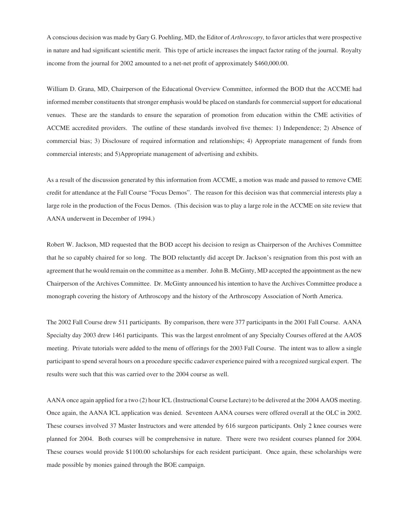A conscious decision was made by Gary G. Poehling, MD, the Editor of *Arthroscopy,* to favor articles that were prospective in nature and had significant scientific merit. This type of article increases the impact factor rating of the journal. Royalty income from the journal for 2002 amounted to a net-net profit of approximately \$460,000.00.

William D. Grana, MD, Chairperson of the Educational Overview Committee, informed the BOD that the ACCME had informed member constituents that stronger emphasis would be placed on standards for commercial support for educational venues. These are the standards to ensure the separation of promotion from education within the CME activities of ACCME accredited providers. The outline of these standards involved five themes: 1) Independence; 2) Absence of commercial bias; 3) Disclosure of required information and relationships; 4) Appropriate management of funds from commercial interests; and 5)Appropriate management of advertising and exhibits.

As a result of the discussion generated by this information from ACCME, a motion was made and passed to remove CME credit for attendance at the Fall Course "Focus Demos". The reason for this decision was that commercial interests play a large role in the production of the Focus Demos. (This decision was to play a large role in the ACCME on site review that AANA underwent in December of 1994.)

Robert W. Jackson, MD requested that the BOD accept his decision to resign as Chairperson of the Archives Committee that he so capably chaired for so long. The BOD reluctantly did accept Dr. Jackson's resignation from this post with an agreement that he would remain on the committee as a member. John B. McGinty, MD accepted the appointment as the new Chairperson of the Archives Committee. Dr. McGinty announced his intention to have the Archives Committee produce a monograph covering the history of Arthroscopy and the history of the Arthroscopy Association of North America.

The 2002 Fall Course drew 511 participants. By comparison, there were 377 participants in the 2001 Fall Course. AANA Specialty day 2003 drew 1461 participants. This was the largest enrolment of any Specialty Courses offered at the AAOS meeting. Private tutorials were added to the menu of offerings for the 2003 Fall Course. The intent was to allow a single participant to spend several hours on a procedure specific cadaver experience paired with a recognized surgical expert. The results were such that this was carried over to the 2004 course as well.

AANA once again applied for a two (2) hour ICL (Instructional Course Lecture) to be delivered at the 2004 AAOS meeting. Once again, the AANA ICL application was denied. Seventeen AANA courses were offered overall at the OLC in 2002. These courses involved 37 Master Instructors and were attended by 616 surgeon participants. Only 2 knee courses were planned for 2004. Both courses will be comprehensive in nature. There were two resident courses planned for 2004. These courses would provide \$1100.00 scholarships for each resident participant. Once again, these scholarships were made possible by monies gained through the BOE campaign.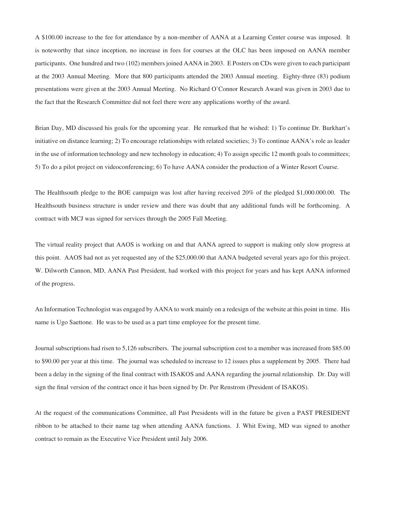A \$100.00 increase to the fee for attendance by a non-member of AANA at a Learning Center course was imposed. It is noteworthy that since inception, no increase in fees for courses at the OLC has been imposed on AANA member participants. One hundred and two (102) members joined AANA in 2003. E Posters on CDs were given to each participant at the 2003 Annual Meeting. More that 800 participants attended the 2003 Annual meeting. Eighty-three (83) podium presentations were given at the 2003 Annual Meeting. No Richard O'Connor Research Award was given in 2003 due to the fact that the Research Committee did not feel there were any applications worthy of the award.

Brian Day, MD discussed his goals for the upcoming year. He remarked that he wished: 1) To continue Dr. Burkhart's initiative on distance learning; 2) To encourage relationships with related societies; 3) To continue AANA's role as leader in the use of information technology and new technology in education; 4) To assign specific 12 month goals to committees; 5) To do a pilot project on videoconferencing; 6) To have AANA consider the production of a Winter Resort Course.

The Healthsouth pledge to the BOE campaign was lost after having received 20% of the pledged \$1,000.000.00. The Healthsouth business structure is under review and there was doubt that any additional funds will be forthcoming. A contract with MCJ was signed for services through the 2005 Fall Meeting.

The virtual reality project that AAOS is working on and that AANA agreed to support is making only slow progress at this point. AAOS had not as yet requested any of the \$25,000.00 that AANA budgeted several years ago for this project. W. Dilworth Cannon, MD, AANA Past President, had worked with this project for years and has kept AANA informed of the progress.

An Information Technologist was engaged by AANA to work mainly on a redesign of the website at this point in time. His name is Ugo Saettone. He was to be used as a part time employee for the present time.

Journal subscriptions had risen to 5,126 subscribers. The journal subscription cost to a member was increased from \$85.00 to \$90.00 per year at this time. The journal was scheduled to increase to 12 issues plus a supplement by 2005. There had been a delay in the signing of the final contract with ISAKOS and AANA regarding the journal relationship. Dr. Day will sign the final version of the contract once it has been signed by Dr. Per Renstrom (President of ISAKOS).

At the request of the communications Committee, all Past Presidents will in the future be given a PAST PRESIDENT ribbon to be attached to their name tag when attending AANA functions. J. Whit Ewing, MD was signed to another contract to remain as the Executive Vice President until July 2006.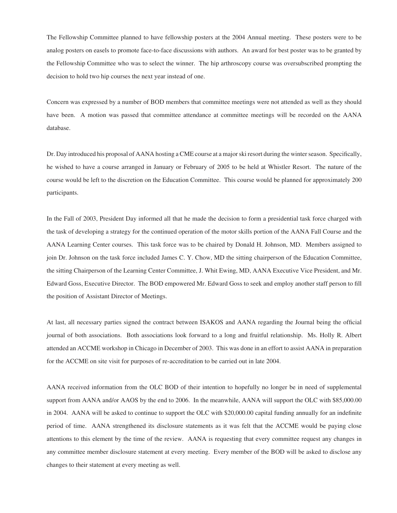The Fellowship Committee planned to have fellowship posters at the 2004 Annual meeting. These posters were to be analog posters on easels to promote face-to-face discussions with authors. An award for best poster was to be granted by the Fellowship Committee who was to select the winner. The hip arthroscopy course was oversubscribed prompting the decision to hold two hip courses the next year instead of one.

Concern was expressed by a number of BOD members that committee meetings were not attended as well as they should have been. A motion was passed that committee attendance at committee meetings will be recorded on the AANA database.

Dr. Day introduced his proposal of AANA hosting a CME course at a major ski resort during the winter season. Specifically, he wished to have a course arranged in January or February of 2005 to be held at Whistler Resort. The nature of the course would be left to the discretion on the Education Committee. This course would be planned for approximately 200 participants.

In the Fall of 2003, President Day informed all that he made the decision to form a presidential task force charged with the task of developing a strategy for the continued operation of the motor skills portion of the AANA Fall Course and the AANA Learning Center courses. This task force was to be chaired by Donald H. Johnson, MD. Members assigned to join Dr. Johnson on the task force included James C. Y. Chow, MD the sitting chairperson of the Education Committee, the sitting Chairperson of the Learning Center Committee, J. Whit Ewing, MD, AANA Executive Vice President, and Mr. Edward Goss, Executive Director. The BOD empowered Mr. Edward Goss to seek and employ another staff person to fill the position of Assistant Director of Meetings.

At last, all necessary parties signed the contract between ISAKOS and AANA regarding the Journal being the official journal of both associations. Both associations look forward to a long and fruitful relationship. Ms. Holly R. Albert attended an ACCME workshop in Chicago in December of 2003. This was done in an effort to assist AANA in preparation for the ACCME on site visit for purposes of re-accreditation to be carried out in late 2004.

AANA received information from the OLC BOD of their intention to hopefully no longer be in need of supplemental support from AANA and/or AAOS by the end to 2006. In the meanwhile, AANA will support the OLC with \$85,000.00 in 2004. AANA will be asked to continue to support the OLC with \$20,000.00 capital funding annually for an indefinite period of time. AANA strengthened its disclosure statements as it was felt that the ACCME would be paying close attentions to this element by the time of the review. AANA is requesting that every committee request any changes in any committee member disclosure statement at every meeting. Every member of the BOD will be asked to disclose any changes to their statement at every meeting as well.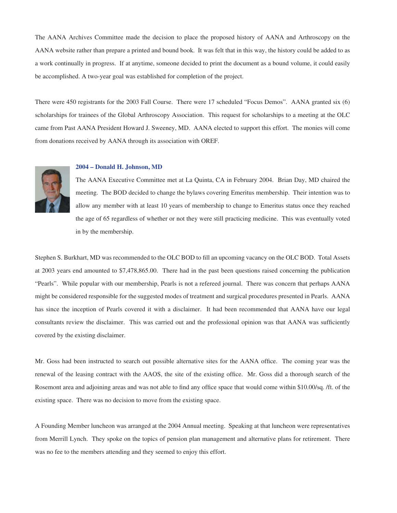The AANA Archives Committee made the decision to place the proposed history of AANA and Arthroscopy on the AANA website rather than prepare a printed and bound book. It was felt that in this way, the history could be added to as a work continually in progress. If at anytime, someone decided to print the document as a bound volume, it could easily be accomplished. A two-year goal was established for completion of the project.

There were 450 registrants for the 2003 Fall Course. There were 17 scheduled "Focus Demos". AANA granted six (6) scholarships for trainees of the Global Arthroscopy Association. This request for scholarships to a meeting at the OLC came from Past AANA President Howard J. Sweeney, MD. AANA elected to support this effort. The monies will come from donations received by AANA through its association with OREF.



## **2004 – Donald H. Johnson, MD**

The AANA Executive Committee met at La Quinta, CA in February 2004. Brian Day, MD chaired the meeting. The BOD decided to change the bylaws covering Emeritus membership. Their intention was to allow any member with at least 10 years of membership to change to Emeritus status once they reached the age of 65 regardless of whether or not they were still practicing medicine. This was eventually voted in by the membership.

Stephen S. Burkhart, MD was recommended to the OLC BOD to fill an upcoming vacancy on the OLC BOD. Total Assets at 2003 years end amounted to \$7,478,865.00. There had in the past been questions raised concerning the publication "Pearls". While popular with our membership, Pearls is not a refereed journal. There was concern that perhaps AANA might be considered responsible for the suggested modes of treatment and surgical procedures presented in Pearls. AANA has since the inception of Pearls covered it with a disclaimer. It had been recommended that AANA have our legal consultants review the disclaimer. This was carried out and the professional opinion was that AANA was sufficiently covered by the existing disclaimer.

Mr. Goss had been instructed to search out possible alternative sites for the AANA office. The coming year was the renewal of the leasing contract with the AAOS, the site of the existing office. Mr. Goss did a thorough search of the Rosemont area and adjoining areas and was not able to find any office space that would come within \$10.00/sq. /ft. of the existing space. There was no decision to move from the existing space.

A Founding Member luncheon was arranged at the 2004 Annual meeting. Speaking at that luncheon were representatives from Merrill Lynch. They spoke on the topics of pension plan management and alternative plans for retirement. There was no fee to the members attending and they seemed to enjoy this effort.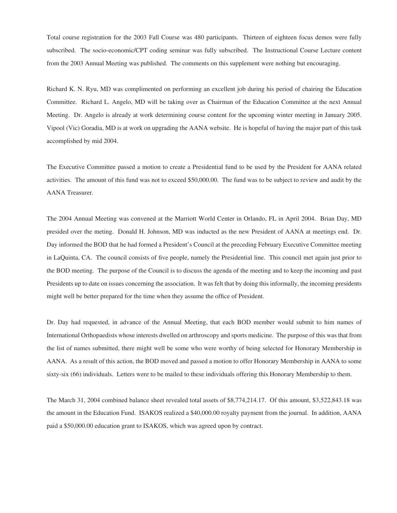Total course registration for the 2003 Fall Course was 480 participants. Thirteen of eighteen focus demos were fully subscribed. The socio-economic/CPT coding seminar was fully subscribed. The Instructional Course Lecture content from the 2003 Annual Meeting was published. The comments on this supplement were nothing but encouraging.

Richard K. N. Ryu, MD was complimented on performing an excellent job during his period of chairing the Education Committee. Richard L. Angelo, MD will be taking over as Chairman of the Education Committee at the next Annual Meeting. Dr. Angelo is already at work determining course content for the upcoming winter meeting in January 2005. Vipool (Vic) Goradia, MD is at work on upgrading the AANA website. He is hopeful of having the major part of this task accomplished by mid 2004.

The Executive Committee passed a motion to create a Presidential fund to be used by the President for AANA related activities. The amount of this fund was not to exceed \$50,000.00. The fund was to be subject to review and audit by the AANA Treasurer.

The 2004 Annual Meeting was convened at the Marriott World Center in Orlando, FL in April 2004. Brian Day, MD presided over the meting. Donald H. Johnson, MD was inducted as the new President of AANA at meetings end. Dr. Day informed the BOD that he had formed a President's Council at the preceding February Executive Committee meeting in LaQuinta, CA. The council consists of five people, namely the Presidential line. This council met again just prior to the BOD meeting. The purpose of the Council is to discuss the agenda of the meeting and to keep the incoming and past Presidents up to date on issues concerning the association. It was felt that by doing this informally, the incoming presidents might well be better prepared for the time when they assume the office of President.

Dr. Day had requested, in advance of the Annual Meeting, that each BOD member would submit to him names of International Orthopaedists whose interests dwelled on arthroscopy and sports medicine. The purpose of this was that from the list of names submitted, there might well be some who were worthy of being selected for Honorary Membership in AANA. As a result of this action, the BOD moved and passed a motion to offer Honorary Membership in AANA to some sixty-six (66) individuals. Letters were to be mailed to these individuals offering this Honorary Membership to them.

The March 31, 2004 combined balance sheet revealed total assets of \$8,774,214.17. Of this amount, \$3,522,843.18 was the amount in the Education Fund. ISAKOS realized a \$40,000.00 royalty payment from the journal. In addition, AANA paid a \$50,000.00 education grant to ISAKOS, which was agreed upon by contract.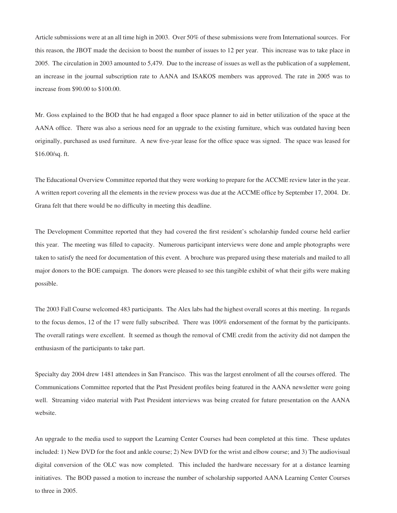Article submissions were at an all time high in 2003. Over 50% of these submissions were from International sources. For this reason, the JBOT made the decision to boost the number of issues to 12 per year. This increase was to take place in 2005. The circulation in 2003 amounted to 5,479. Due to the increase of issues as well as the publication of a supplement, an increase in the journal subscription rate to AANA and ISAKOS members was approved. The rate in 2005 was to increase from \$90.00 to \$100.00.

Mr. Goss explained to the BOD that he had engaged a floor space planner to aid in better utilization of the space at the AANA office. There was also a serious need for an upgrade to the existing furniture, which was outdated having been originally, purchased as used furniture. A new five-year lease for the office space was signed. The space was leased for \$16.00/sq. ft.

The Educational Overview Committee reported that they were working to prepare for the ACCME review later in the year. A written report covering all the elements in the review process was due at the ACCME office by September 17, 2004. Dr. Grana felt that there would be no difficulty in meeting this deadline.

The Development Committee reported that they had covered the first resident's scholarship funded course held earlier this year. The meeting was filled to capacity. Numerous participant interviews were done and ample photographs were taken to satisfy the need for documentation of this event. A brochure was prepared using these materials and mailed to all major donors to the BOE campaign. The donors were pleased to see this tangible exhibit of what their gifts were making possible.

The 2003 Fall Course welcomed 483 participants. The Alex labs had the highest overall scores at this meeting. In regards to the focus demos, 12 of the 17 were fully subscribed. There was 100% endorsement of the format by the participants. The overall ratings were excellent. It seemed as though the removal of CME credit from the activity did not dampen the enthusiasm of the participants to take part.

Specialty day 2004 drew 1481 attendees in San Francisco. This was the largest enrolment of all the courses offered. The Communications Committee reported that the Past President profiles being featured in the AANA newsletter were going well. Streaming video material with Past President interviews was being created for future presentation on the AANA website.

An upgrade to the media used to support the Learning Center Courses had been completed at this time. These updates included: 1) New DVD for the foot and ankle course; 2) New DVD for the wrist and elbow course; and 3) The audiovisual digital conversion of the OLC was now completed. This included the hardware necessary for at a distance learning initiatives. The BOD passed a motion to increase the number of scholarship supported AANA Learning Center Courses to three in 2005.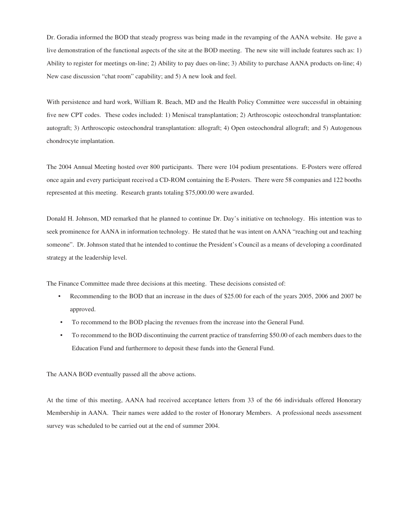Dr. Goradia informed the BOD that steady progress was being made in the revamping of the AANA website. He gave a live demonstration of the functional aspects of the site at the BOD meeting. The new site will include features such as: 1) Ability to register for meetings on-line; 2) Ability to pay dues on-line; 3) Ability to purchase AANA products on-line; 4) New case discussion "chat room" capability; and 5) A new look and feel.

With persistence and hard work, William R. Beach, MD and the Health Policy Committee were successful in obtaining five new CPT codes. These codes included: 1) Meniscal transplantation; 2) Arthroscopic osteochondral transplantation: autograft; 3) Arthroscopic osteochondral transplantation: allograft; 4) Open osteochondral allograft; and 5) Autogenous chondrocyte implantation.

The 2004 Annual Meeting hosted over 800 participants. There were 104 podium presentations. E-Posters were offered once again and every participant received a CD-ROM containing the E-Posters. There were 58 companies and 122 booths represented at this meeting. Research grants totaling \$75,000.00 were awarded.

Donald H. Johnson, MD remarked that he planned to continue Dr. Day's initiative on technology. His intention was to seek prominence for AANA in information technology. He stated that he was intent on AANA "reaching out and teaching someone". Dr. Johnson stated that he intended to continue the President's Council as a means of developing a coordinated strategy at the leadership level.

The Finance Committee made three decisions at this meeting. These decisions consisted of:

- Recommending to the BOD that an increase in the dues of \$25.00 for each of the years 2005, 2006 and 2007 be approved.
- To recommend to the BOD placing the revenues from the increase into the General Fund.
- To recommend to the BOD discontinuing the current practice of transferring \$50.00 of each members dues to the Education Fund and furthermore to deposit these funds into the General Fund.

The AANA BOD eventually passed all the above actions.

At the time of this meeting, AANA had received acceptance letters from 33 of the 66 individuals offered Honorary Membership in AANA. Their names were added to the roster of Honorary Members. A professional needs assessment survey was scheduled to be carried out at the end of summer 2004.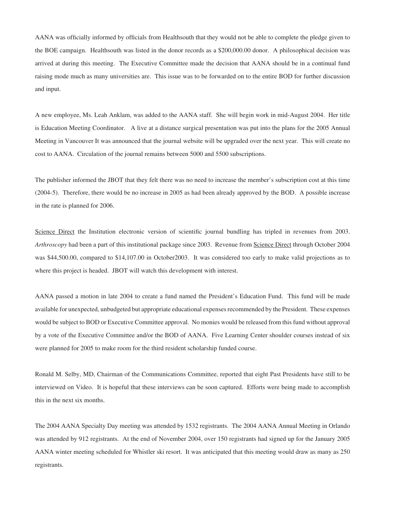AANA was officially informed by officials from Healthsouth that they would not be able to complete the pledge given to the BOE campaign. Healthsouth was listed in the donor records as a \$200,000.00 donor. A philosophical decision was arrived at during this meeting. The Executive Committee made the decision that AANA should be in a continual fund raising mode much as many universities are. This issue was to be forwarded on to the entire BOD for further discussion and input.

A new employee, Ms. Leah Anklam, was added to the AANA staff. She will begin work in mid-August 2004. Her title is Education Meeting Coordinator. A live at a distance surgical presentation was put into the plans for the 2005 Annual Meeting in Vancouver It was announced that the journal website will be upgraded over the next year. This will create no cost to AANA. Circulation of the journal remains between 5000 and 5500 subscriptions.

The publisher informed the JBOT that they felt there was no need to increase the member's subscription cost at this time (2004-5). Therefore, there would be no increase in 2005 as had been already approved by the BOD. A possible increase in the rate is planned for 2006.

Science Direct the Institution electronic version of scientific journal bundling has tripled in revenues from 2003. *Arthroscopy* had been a part of this institutional package since 2003. Revenue from Science Direct through October 2004 was \$44,500.00, compared to \$14,107.00 in October2003. It was considered too early to make valid projections as to where this project is headed. JBOT will watch this development with interest.

AANA passed a motion in late 2004 to create a fund named the President's Education Fund. This fund will be made available for unexpected, unbudgeted but appropriate educational expenses recommended by the President. These expenses would be subject to BOD or Executive Committee approval. No monies would be released from this fund without approval by a vote of the Executive Committee and/or the BOD of AANA. Five Learning Center shoulder courses instead of six were planned for 2005 to make room for the third resident scholarship funded course.

Ronald M. Selby, MD, Chairman of the Communications Committee, reported that eight Past Presidents have still to be interviewed on Video. It is hopeful that these interviews can be soon captured. Efforts were being made to accomplish this in the next six months.

The 2004 AANA Specialty Day meeting was attended by 1532 registrants. The 2004 AANA Annual Meeting in Orlando was attended by 912 registrants. At the end of November 2004, over 150 registrants had signed up for the January 2005 AANA winter meeting scheduled for Whistler ski resort. It was anticipated that this meeting would draw as many as 250 registrants.